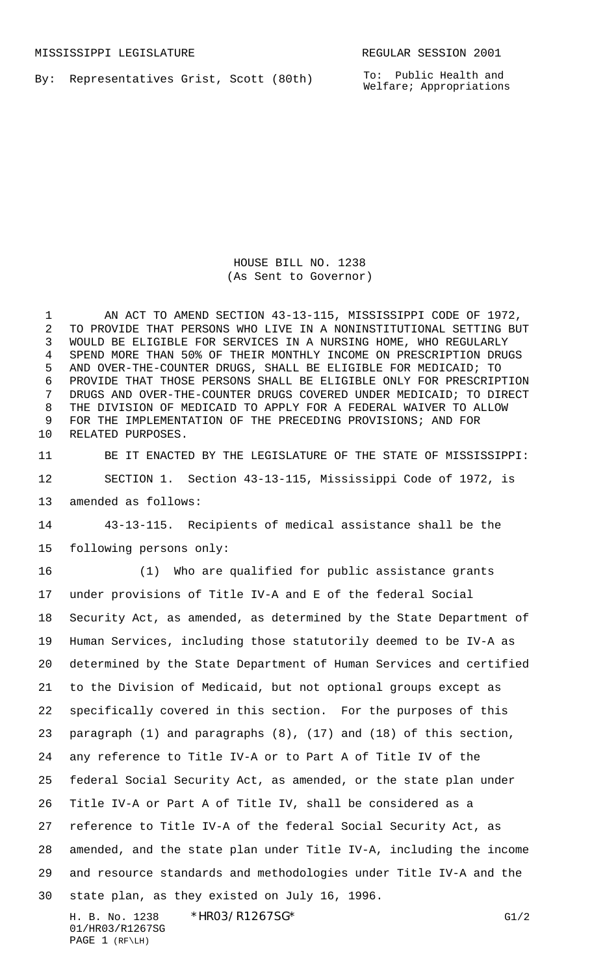By: Representatives Grist, Scott (80th)

To: Public Health and Welfare; Appropriations

HOUSE BILL NO. 1238 (As Sent to Governor)

1 AN ACT TO AMEND SECTION 43-13-115, MISSISSIPPI CODE OF 1972, TO PROVIDE THAT PERSONS WHO LIVE IN A NONINSTITUTIONAL SETTING BUT WOULD BE ELIGIBLE FOR SERVICES IN A NURSING HOME, WHO REGULARLY SPEND MORE THAN 50% OF THEIR MONTHLY INCOME ON PRESCRIPTION DRUGS AND OVER-THE-COUNTER DRUGS, SHALL BE ELIGIBLE FOR MEDICAID; TO PROVIDE THAT THOSE PERSONS SHALL BE ELIGIBLE ONLY FOR PRESCRIPTION DRUGS AND OVER-THE-COUNTER DRUGS COVERED UNDER MEDICAID; TO DIRECT THE DIVISION OF MEDICAID TO APPLY FOR A FEDERAL WAIVER TO ALLOW FOR THE IMPLEMENTATION OF THE PRECEDING PROVISIONS; AND FOR RELATED PURPOSES.

 BE IT ENACTED BY THE LEGISLATURE OF THE STATE OF MISSISSIPPI: SECTION 1. Section 43-13-115, Mississippi Code of 1972, is amended as follows:

 43-13-115. Recipients of medical assistance shall be the following persons only:

 (1) Who are qualified for public assistance grants under provisions of Title IV-A and E of the federal Social Security Act, as amended, as determined by the State Department of Human Services, including those statutorily deemed to be IV-A as determined by the State Department of Human Services and certified to the Division of Medicaid, but not optional groups except as specifically covered in this section. For the purposes of this paragraph (1) and paragraphs (8), (17) and (18) of this section, any reference to Title IV-A or to Part A of Title IV of the federal Social Security Act, as amended, or the state plan under Title IV-A or Part A of Title IV, shall be considered as a reference to Title IV-A of the federal Social Security Act, as amended, and the state plan under Title IV-A, including the income and resource standards and methodologies under Title IV-A and the state plan, as they existed on July 16, 1996.

H. B. No. 1238 \*HRO3/R1267SG\* G1/2 01/HR03/R1267SG PAGE 1 (RF\LH)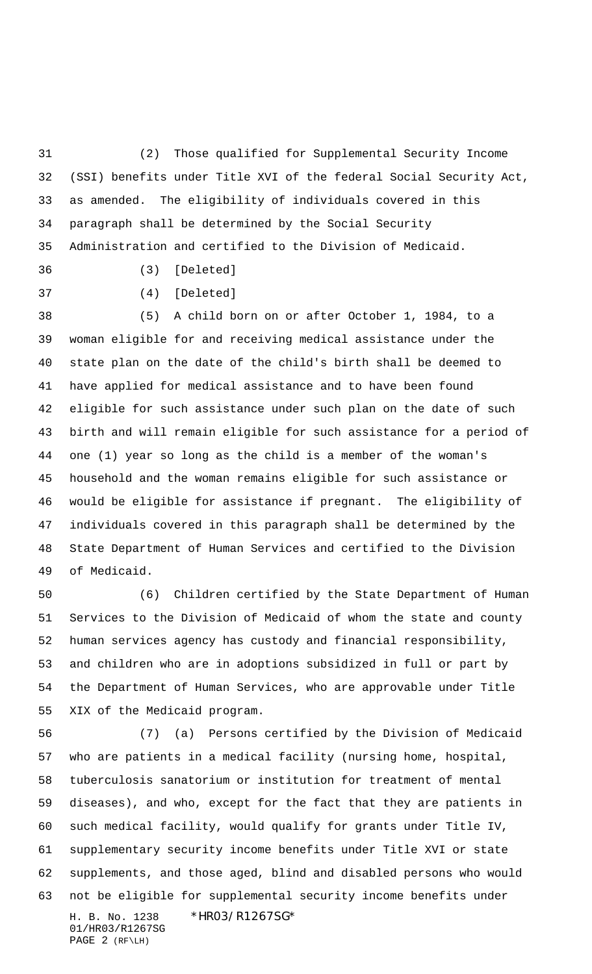(2) Those qualified for Supplemental Security Income (SSI) benefits under Title XVI of the federal Social Security Act, as amended. The eligibility of individuals covered in this paragraph shall be determined by the Social Security Administration and certified to the Division of Medicaid.

(3) [Deleted]

(4) [Deleted]

 (5) A child born on or after October 1, 1984, to a woman eligible for and receiving medical assistance under the state plan on the date of the child's birth shall be deemed to have applied for medical assistance and to have been found eligible for such assistance under such plan on the date of such birth and will remain eligible for such assistance for a period of one (1) year so long as the child is a member of the woman's household and the woman remains eligible for such assistance or would be eligible for assistance if pregnant. The eligibility of individuals covered in this paragraph shall be determined by the State Department of Human Services and certified to the Division of Medicaid.

 (6) Children certified by the State Department of Human Services to the Division of Medicaid of whom the state and county human services agency has custody and financial responsibility, and children who are in adoptions subsidized in full or part by the Department of Human Services, who are approvable under Title XIX of the Medicaid program.

H. B. No. 1238 \*HR03/R1267SG\* 01/HR03/R1267SG PAGE 2 (RF\LH) (7) (a) Persons certified by the Division of Medicaid who are patients in a medical facility (nursing home, hospital, tuberculosis sanatorium or institution for treatment of mental diseases), and who, except for the fact that they are patients in such medical facility, would qualify for grants under Title IV, supplementary security income benefits under Title XVI or state supplements, and those aged, blind and disabled persons who would not be eligible for supplemental security income benefits under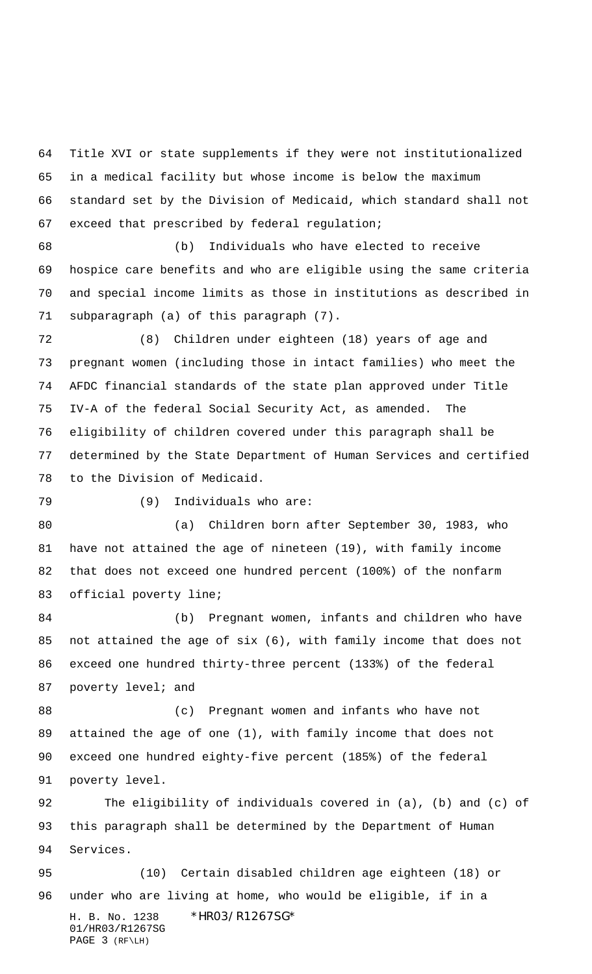Title XVI or state supplements if they were not institutionalized in a medical facility but whose income is below the maximum standard set by the Division of Medicaid, which standard shall not exceed that prescribed by federal regulation;

 (b) Individuals who have elected to receive hospice care benefits and who are eligible using the same criteria and special income limits as those in institutions as described in subparagraph (a) of this paragraph (7).

 (8) Children under eighteen (18) years of age and pregnant women (including those in intact families) who meet the AFDC financial standards of the state plan approved under Title IV-A of the federal Social Security Act, as amended. The eligibility of children covered under this paragraph shall be determined by the State Department of Human Services and certified to the Division of Medicaid.

(9) Individuals who are:

 (a) Children born after September 30, 1983, who have not attained the age of nineteen (19), with family income that does not exceed one hundred percent (100%) of the nonfarm official poverty line;

 (b) Pregnant women, infants and children who have not attained the age of six (6), with family income that does not exceed one hundred thirty-three percent (133%) of the federal 87 poverty level; and

 (c) Pregnant women and infants who have not attained the age of one (1), with family income that does not exceed one hundred eighty-five percent (185%) of the federal poverty level.

 The eligibility of individuals covered in (a), (b) and (c) of this paragraph shall be determined by the Department of Human Services.

H. B. No. 1238 \*HR03/R1267SG\* 01/HR03/R1267SG PAGE 3 (RF\LH) (10) Certain disabled children age eighteen (18) or under who are living at home, who would be eligible, if in a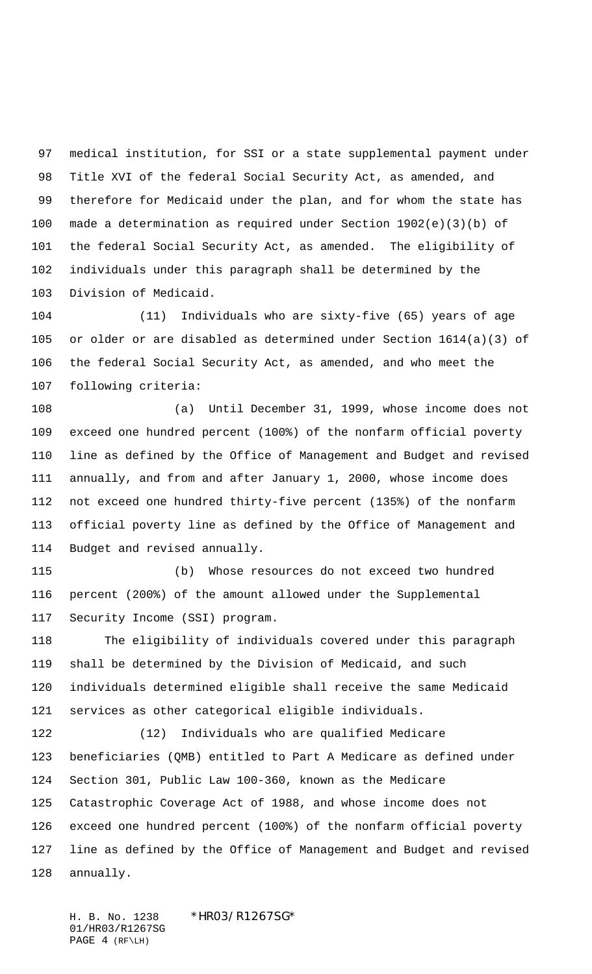medical institution, for SSI or a state supplemental payment under Title XVI of the federal Social Security Act, as amended, and therefore for Medicaid under the plan, and for whom the state has made a determination as required under Section 1902(e)(3)(b) of the federal Social Security Act, as amended. The eligibility of individuals under this paragraph shall be determined by the Division of Medicaid.

 (11) Individuals who are sixty-five (65) years of age or older or are disabled as determined under Section 1614(a)(3) of the federal Social Security Act, as amended, and who meet the following criteria:

 (a) Until December 31, 1999, whose income does not exceed one hundred percent (100%) of the nonfarm official poverty line as defined by the Office of Management and Budget and revised annually, and from and after January 1, 2000, whose income does not exceed one hundred thirty-five percent (135%) of the nonfarm official poverty line as defined by the Office of Management and Budget and revised annually.

 (b) Whose resources do not exceed two hundred percent (200%) of the amount allowed under the Supplemental Security Income (SSI) program.

 The eligibility of individuals covered under this paragraph shall be determined by the Division of Medicaid, and such individuals determined eligible shall receive the same Medicaid services as other categorical eligible individuals.

 (12) Individuals who are qualified Medicare beneficiaries (QMB) entitled to Part A Medicare as defined under Section 301, Public Law 100-360, known as the Medicare Catastrophic Coverage Act of 1988, and whose income does not exceed one hundred percent (100%) of the nonfarm official poverty line as defined by the Office of Management and Budget and revised annually.

H. B. No. 1238 \*HRO3/R1267SG\* 01/HR03/R1267SG PAGE 4 (RF\LH)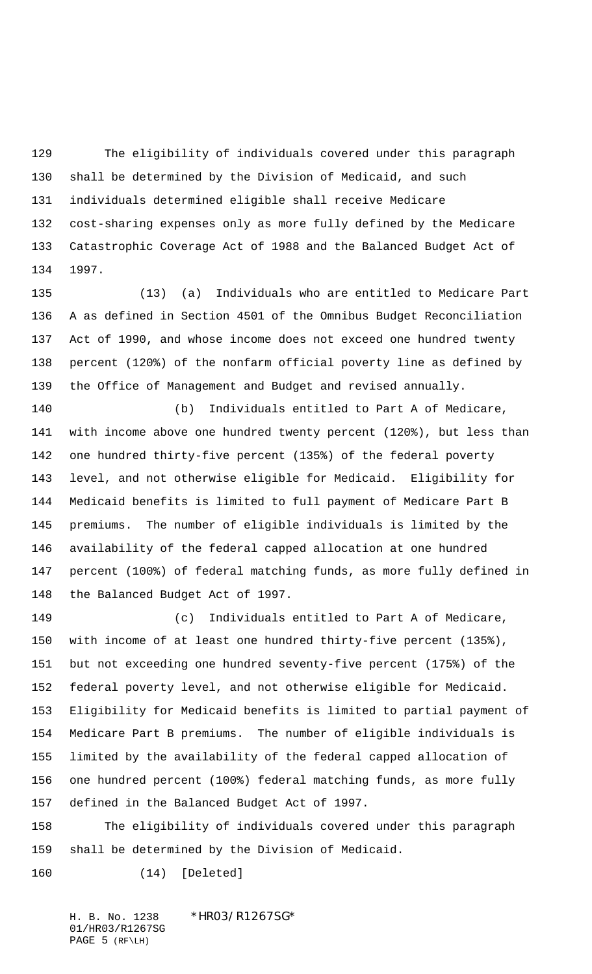The eligibility of individuals covered under this paragraph shall be determined by the Division of Medicaid, and such individuals determined eligible shall receive Medicare cost-sharing expenses only as more fully defined by the Medicare Catastrophic Coverage Act of 1988 and the Balanced Budget Act of 1997.

 (13) (a) Individuals who are entitled to Medicare Part A as defined in Section 4501 of the Omnibus Budget Reconciliation Act of 1990, and whose income does not exceed one hundred twenty percent (120%) of the nonfarm official poverty line as defined by the Office of Management and Budget and revised annually.

 (b) Individuals entitled to Part A of Medicare, with income above one hundred twenty percent (120%), but less than one hundred thirty-five percent (135%) of the federal poverty level, and not otherwise eligible for Medicaid. Eligibility for Medicaid benefits is limited to full payment of Medicare Part B premiums. The number of eligible individuals is limited by the availability of the federal capped allocation at one hundred percent (100%) of federal matching funds, as more fully defined in the Balanced Budget Act of 1997.

 (c) Individuals entitled to Part A of Medicare, with income of at least one hundred thirty-five percent (135%), but not exceeding one hundred seventy-five percent (175%) of the federal poverty level, and not otherwise eligible for Medicaid. Eligibility for Medicaid benefits is limited to partial payment of Medicare Part B premiums. The number of eligible individuals is limited by the availability of the federal capped allocation of one hundred percent (100%) federal matching funds, as more fully defined in the Balanced Budget Act of 1997.

 The eligibility of individuals covered under this paragraph shall be determined by the Division of Medicaid.

(14) [Deleted]

H. B. No. 1238 \*HRO3/R1267SG\* 01/HR03/R1267SG PAGE 5 (RF\LH)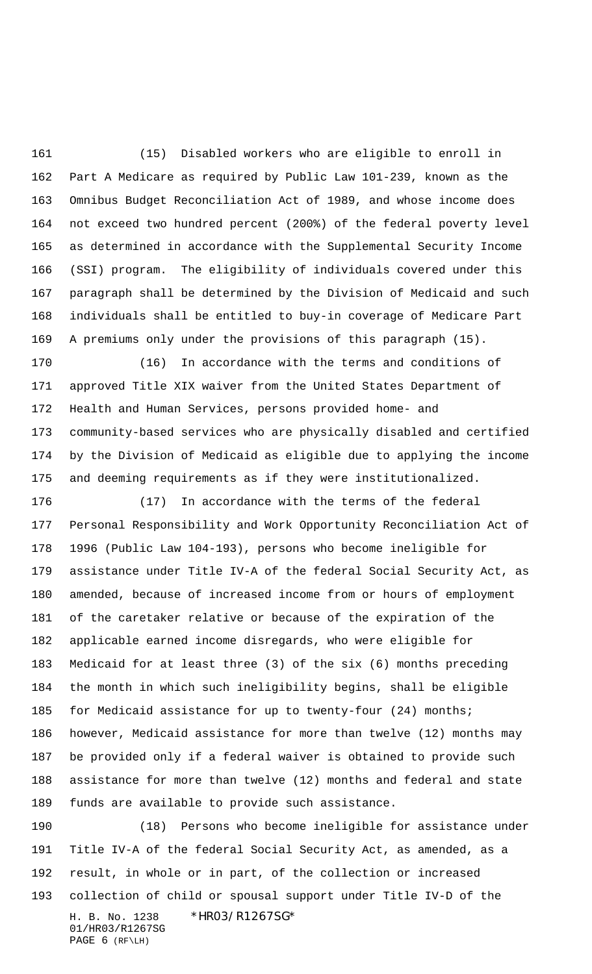(15) Disabled workers who are eligible to enroll in Part A Medicare as required by Public Law 101-239, known as the Omnibus Budget Reconciliation Act of 1989, and whose income does not exceed two hundred percent (200%) of the federal poverty level as determined in accordance with the Supplemental Security Income (SSI) program. The eligibility of individuals covered under this paragraph shall be determined by the Division of Medicaid and such individuals shall be entitled to buy-in coverage of Medicare Part A premiums only under the provisions of this paragraph (15).

 (16) In accordance with the terms and conditions of approved Title XIX waiver from the United States Department of Health and Human Services, persons provided home- and community-based services who are physically disabled and certified by the Division of Medicaid as eligible due to applying the income and deeming requirements as if they were institutionalized.

 (17) In accordance with the terms of the federal Personal Responsibility and Work Opportunity Reconciliation Act of 1996 (Public Law 104-193), persons who become ineligible for assistance under Title IV-A of the federal Social Security Act, as amended, because of increased income from or hours of employment of the caretaker relative or because of the expiration of the applicable earned income disregards, who were eligible for Medicaid for at least three (3) of the six (6) months preceding the month in which such ineligibility begins, shall be eligible 185 for Medicaid assistance for up to twenty-four (24) months; however, Medicaid assistance for more than twelve (12) months may be provided only if a federal waiver is obtained to provide such assistance for more than twelve (12) months and federal and state funds are available to provide such assistance.

H. B. No. 1238 \*HRO3/R1267SG\* 01/HR03/R1267SG PAGE 6 (RF\LH) (18) Persons who become ineligible for assistance under Title IV-A of the federal Social Security Act, as amended, as a result, in whole or in part, of the collection or increased collection of child or spousal support under Title IV-D of the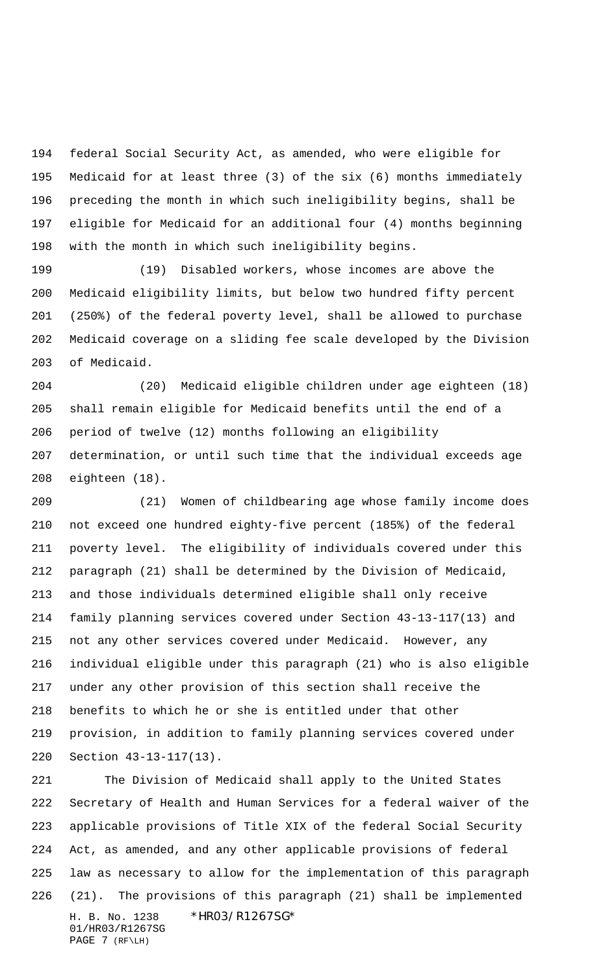federal Social Security Act, as amended, who were eligible for Medicaid for at least three (3) of the six (6) months immediately preceding the month in which such ineligibility begins, shall be eligible for Medicaid for an additional four (4) months beginning with the month in which such ineligibility begins.

 (19) Disabled workers, whose incomes are above the Medicaid eligibility limits, but below two hundred fifty percent (250%) of the federal poverty level, shall be allowed to purchase Medicaid coverage on a sliding fee scale developed by the Division of Medicaid.

 (20) Medicaid eligible children under age eighteen (18) shall remain eligible for Medicaid benefits until the end of a period of twelve (12) months following an eligibility determination, or until such time that the individual exceeds age eighteen (18).

 (21) Women of childbearing age whose family income does not exceed one hundred eighty-five percent (185%) of the federal poverty level. The eligibility of individuals covered under this paragraph (21) shall be determined by the Division of Medicaid, and those individuals determined eligible shall only receive family planning services covered under Section 43-13-117(13) and not any other services covered under Medicaid. However, any individual eligible under this paragraph (21) who is also eligible under any other provision of this section shall receive the benefits to which he or she is entitled under that other provision, in addition to family planning services covered under Section 43-13-117(13).

H. B. No. 1238 \*HR03/R1267SG\* 01/HR03/R1267SG PAGE 7 (RF\LH) The Division of Medicaid shall apply to the United States Secretary of Health and Human Services for a federal waiver of the applicable provisions of Title XIX of the federal Social Security Act, as amended, and any other applicable provisions of federal law as necessary to allow for the implementation of this paragraph (21). The provisions of this paragraph (21) shall be implemented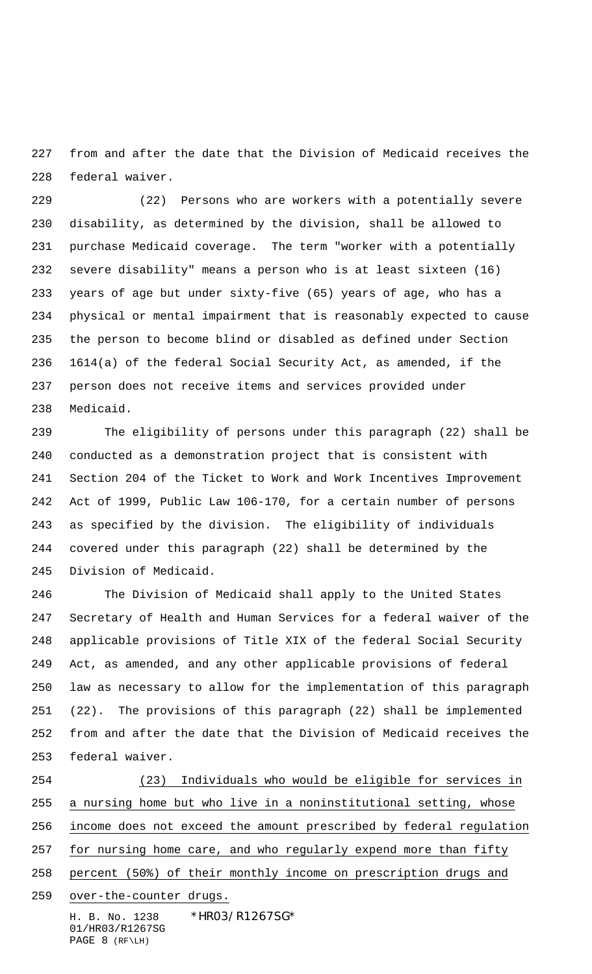from and after the date that the Division of Medicaid receives the federal waiver.

 (22) Persons who are workers with a potentially severe disability, as determined by the division, shall be allowed to purchase Medicaid coverage. The term "worker with a potentially severe disability" means a person who is at least sixteen (16) years of age but under sixty-five (65) years of age, who has a physical or mental impairment that is reasonably expected to cause the person to become blind or disabled as defined under Section 1614(a) of the federal Social Security Act, as amended, if the person does not receive items and services provided under Medicaid.

 The eligibility of persons under this paragraph (22) shall be conducted as a demonstration project that is consistent with Section 204 of the Ticket to Work and Work Incentives Improvement Act of 1999, Public Law 106-170, for a certain number of persons as specified by the division. The eligibility of individuals covered under this paragraph (22) shall be determined by the Division of Medicaid.

 The Division of Medicaid shall apply to the United States Secretary of Health and Human Services for a federal waiver of the applicable provisions of Title XIX of the federal Social Security Act, as amended, and any other applicable provisions of federal law as necessary to allow for the implementation of this paragraph (22). The provisions of this paragraph (22) shall be implemented from and after the date that the Division of Medicaid receives the federal waiver.

H. B. No. 1238 \*HR03/R1267SG\* (23) Individuals who would be eligible for services in a nursing home but who live in a noninstitutional setting, whose income does not exceed the amount prescribed by federal regulation for nursing home care, and who regularly expend more than fifty percent (50%) of their monthly income on prescription drugs and over-the-counter drugs.